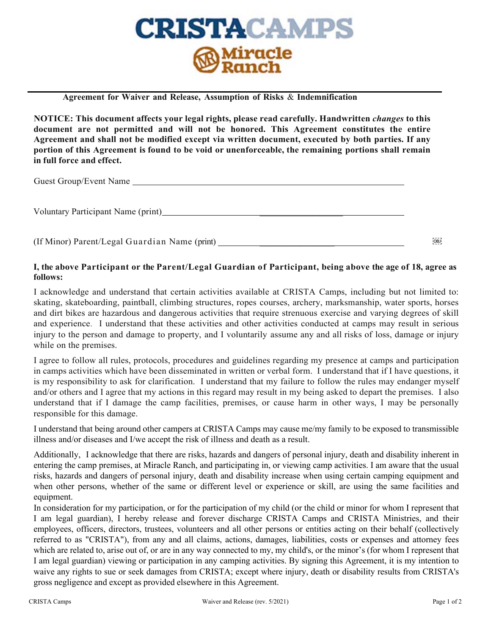

**Agreement for Waiver and Release, Assumption of Risks** & **Indemnification**

**NOTICE: This document affects your legal rights, please read carefully. Handwritten** *changes* **to this document are not permitted and will not be honored. This Agreement constitutes the entire Agreement and shall not be modified except via written document, executed by both parties. If any portion of this Agreement is found to be void or unenforceable, the remaining portions shall remain in full force and effect.**

Guest Group/Event Name

Voluntary Participant Name (print)

(If Minor) Parent/Legal Guardian Name (print) \_\_\_\_\_\_\_\_\_\_\_\_\_\_\_\_\_

## I, the above Participant or the Parent/Legal Guardian of Participant, being above the age of 18, agree as **follows:**

I acknowledge and understand that certain activities available at CRISTA Camps, including but not limited to: skating, skateboarding, paintball, climbing structures, ropes courses, archery, marksmanship, water sports, horses and dirt bikes are hazardous and dangerous activities that require strenuous exercise and varying degrees of skill and experience. I understand that these activities and other activities conducted at camps may result in serious injury to the person and damage to property, and I voluntarily assume any and all risks of loss, damage or injury while on the premises.

I agree to follow all rules, protocols, procedures and guidelines regarding my presence at camps and participation in camps activities which have been disseminated in written or verbal form. I understand that if I have questions, it is my responsibility to ask for clarification. I understand that my failure to follow the rules may endanger myself and/or others and I agree that my actions in this regard may result in my being asked to depart the premises. I also understand that if I damage the camp facilities, premises, or cause harm in other ways, I may be personally responsible for this damage.

I understand that being around other campers at CRISTA Camps may cause me/my family to be exposed to transmissible illness and/or diseases and I/we accept the risk of illness and death as a result.

Additionally, I acknowledge that there are risks, hazards and dangers of personal injury, death and disability inherent in entering the camp premises, at Miracle Ranch, and participating in, or viewing camp activities. I am aware that the usual risks, hazards and dangers of personal injury, death and disability increase when using certain camping equipment and when other persons, whether of the same or different level or experience or skill, are using the same facilities and equipment.

In consideration for my participation, or for the participation of my child (or the child or minor for whom I represent that I am legal guardian), I hereby release and forever discharge CRISTA Camps and CRISTA Ministries, and their employees, officers, directors, trustees, volunteers and all other persons or entities acting on their behalf (collectively referred to as "CRISTA"), from any and all claims, actions, damages, liabilities, costs or expenses and attorney fees which are related to, arise out of, or are in any way connected to my, my child's, or the minor's (for whom I represent that I am legal guardian) viewing or participation in any camping activities. By signing this Agreement, it is my intention to waive any rights to sue or seek damages from CRISTA; except where injury, death or disability results from CRISTA's gross negligence and except as provided elsewhere in this Agreement.